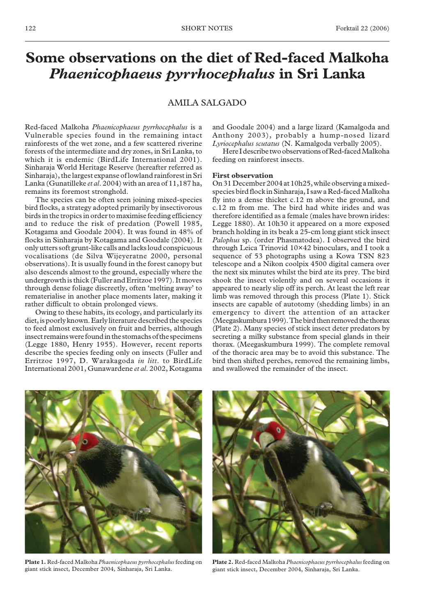# **Some observations on the diet of Red-faced Malkoha** *Phaenicophaeus pyrrhocephalus* **in Sri Lanka**

# AMILA SALGADO

Red-faced Malkoha *Phaenicophaeus pyrrhocephalus* is a Vulnerable species found in the remaining intact rainforests of the wet zone, and a few scattered riverine forests of the intermediate and dry zones, in Sri Lanka, to which it is endemic (BirdLife International 2001). Sinharaja World Heritage Reserve (hereafter referred as Sinharaja), the largest expanse of lowland rainforest in Sri Lanka (Gunatilleke *et al*. 2004) with an area of 11,187 ha, remains its foremost stronghold.

The species can be often seen joining mixed-species bird flocks, a strategy adopted primarily by insectivorous birds in the tropics in order to maximise feeding efficiency and to reduce the risk of predation (Powell 1985, Kotagama and Goodale 2004). It was found in 48% of flocks in Sinharaja by Kotagama and Goodale (2004). It only utters soft grunt-like calls and lacks loud conspicuous vocalisations (de Silva Wijeyeratne 2000, personal observations). It is usually found in the forest canopy but also descends almost to the ground, especially where the undergrowth is thick (Fuller and Erritzoe 1997). It moves through dense foliage discreetly, often 'melting away' to rematerialise in another place moments later, making it rather difficult to obtain prolonged views.

Owing to these habits, its ecology, and particularly its diet, is poorly known. Early literature described the species to feed almost exclusively on fruit and berries, although insect remains were found in the stomachs of the specimens (Legge 1880, Henry 1955). However, recent reports describe the species feeding only on insects (Fuller and Erritzoe 1997, D. Warakagoda *in litt*. to BirdLife International 2001, Gunawardene *et al*. 2002, Kotagama and Goodale 2004) and a large lizard (Kamalgoda and Anthony 2003), probably a hump-nosed lizard *Lyriocephalus scutatus* (N. Kamalgoda verbally 2005).

Here I describe two observations of Red-faced Malkoha feeding on rainforest insects.

#### **First observation**

On 31 December 2004 at 10h25, while observing a mixedspecies bird flock in Sinharaja, I saw a Red-faced Malkoha fly into a dense thicket c.12 m above the ground, and c.12 m from me. The bird had white irides and was therefore identified as a female (males have brown irides: Legge 1880). At 10h30 it appeared on a more exposed branch holding in its beak a 25-cm long giant stick insect *Palophus* sp. (order Phasmatodea). I observed the bird through Leica Trinovid 10×42 binoculars, and I took a sequence of 53 photographs using a Kowa TSN 823 telescope and a Nikon coolpix 4500 digital camera over the next six minutes whilst the bird ate its prey. The bird shook the insect violently and on several occasions it appeared to nearly slip off its perch. At least the left rear limb was removed through this process (Plate 1). Stick insects are capable of autotomy (shedding limbs) in an emergency to divert the attention of an attacker (Meegaskumbura 1999). The bird then removed the thorax (Plate 2). Many species of stick insect deter predators by secreting a milky substance from special glands in their thorax. (Meegaskumbura 1999). The complete removal of the thoracic area may be to avoid this substance. The bird then shifted perches, removed the remaining limbs, and swallowed the remainder of the insect.



**Plate 1.** Red-faced Malkoha *Phaenicophaeus pyrrhocephalus* feeding on giant stick insect, December 2004, Sinharaja, Sri Lanka.



**Plate 2.** Red-faced Malkoha *Phaenicophaeus pyrrhocephalus* feeding on giant stick insect, December 2004, Sinharaja, Sri Lanka.